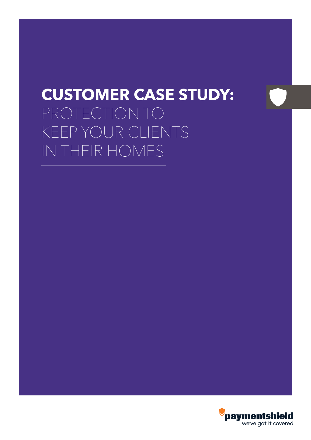# **CUSTOMER CASE STUDY:** PROTECTION TO KEEP YOUR CLIENTS IN THEIR HOMES

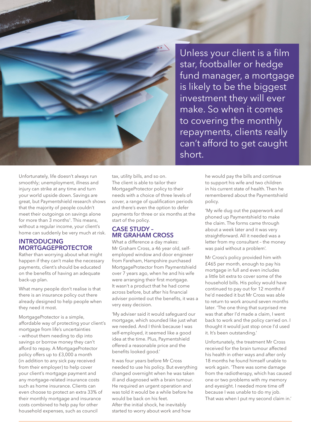Unless your client is a film star, footballer or hedge fund manager, a mortgage is likely to be the biggest investment they will ever make. So when it comes to covering the monthly repayments, clients really can't afford to get caught short.

Unfortunately, life doesn't always run smoothly; unemployment, illness and injury can strike at any time and turn your world upside down. Savings are great, but Paymentshield research shows that the majority of people couldn't meet their outgoings on savings alone for more than 3 months<sup>1</sup>. This means, without a regular income, your client's home can suddenly be very much at risk.

一、小川花等

#### **INTRODUCING MORTGAGEPROTECTOR**

Rather than worrying about what might happen if they can't make the necessary payments, client's should be educated on the benefits of having an adequate back-up plan.

What many people don't realise is that there is an insurance policy out there already designed to help people when they need it most.

MortgageProtector is a simple, affordable way of protecting your client's mortgage from life's uncertainties – without them needing to dip into savings or borrow money they can't afford to repay. A MortgageProtector policy offers up to £3,000 a month (in addition to any sick pay received from their employer) to help cover your client's mortgage payment and any mortgage-related insurance costs such as home insurance. Clients can even choose to protect an extra 33% of their monthly mortgage and insurance costs combined to help pay for other household expenses, such as council

tax, utility bills, and so on. The client is able to tailor their MortgageProtector policy to their needs with a choice of three levels of cover, a range of qualification periods and there's even the option to defer payments for three or six months at the start of the policy.

#### **CASE STUDY – MR GRAHAM CROSS**

What a difference a day makes: Mr Graham Cross, a 46 year old, selfemployed window and door engineer from Fareham, Hampshire purchased MortgageProtector from Paymentshield over 7 years ago, when he and his wife were arranging their first mortgage. It wasn't a product that he had come across before, but after his financial adviser pointed out the benefits, it was a very easy decision.

'My adviser said it would safeguard our mortgage, which sounded like just what we needed. And I think because I was self-employed, it seemed like a good idea at the time. Plus, Paymentshield offered a reasonable price and the benefits looked good.'

It was four years before Mr Cross needed to use his policy. But everything changed overnight when he was taken ill and diagnosed with a brain tumour. He required an urgent operation and was told it would be a while before he would be back on his feet. After the initial shock, he inevitably started to worry about work and how

he would pay the bills and continue to support his wife and two children in his current state of health. Then he remembered about the Paymentshield policy.

'My wife dug out the paperwork and phoned up Paymentshield to make the claim. The forms came through about a week later and it was very straightforward. All it needed was a letter from my consultant – the money was paid without a problem'.

Mr Cross's policy provided him with £465 per month, enough to pay his mortgage in full and even includes a little bit extra to cover some of the household bills. His policy would have continued to pay out for 12 months if he'd needed it but Mr Cross was able to return to work around seven months later. 'The one thing that surprised me was that after I'd made a claim, I went back to work and the policy carried on. I thought it would just stop once I'd used it. It's been outstanding.'

Unfortunately, the treatment Mr Cross received for the brain tumour affected his health in other ways and after only 18 months he found himself unable to work again. 'There was some damage from the radiotherapy, which has caused one or two problems with my memory and eyesight. I needed more time off because I was unable to do my job. That was when I put my second claim in.'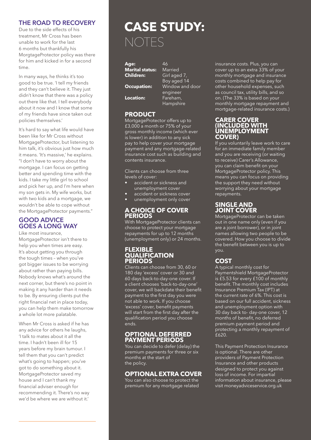#### **THE ROAD TO RECOVERY**

Due to the side effects of his treatment, Mr Cross has been unable to work for the last 6 months but thankfully his MorgtageProtector policy was there for him and kicked in for a second time.

In many ways, he thinks it's too good to be true. 'I tell my friends and they can't believe it. They just didn't know that there was a policy out there like that. I tell everybody about it now and I know that some of my friends have since taken out policies themselves.'

It's hard to say what life would have been like for Mr Cross without MortgageProtector, but listening to him talk, it's obvious just how much it means. 'It's massive,' he explains. "I don't have to worry about the mortgage. I can focus on getting better and spending time with the kids. I take my little girl to school and pick her up, and I'm here when my son gets in. My wife works, but with two kids and a mortgage, we wouldn't be able to cope without the MortgageProtector payments."

#### **GOOD ADVICE GOES A LONG WAY**

Like most insurance, MortgageProtector isn't there to help you when times are easy. It's about getting you through the tough times – when you've got bigger issues to be worrying about rather than paying bills. Nobody knows what's around the next corner, but there's no point in making it any harder than it needs to be. By ensuring clients put the right financial net in place today, you can help them make tomorrow a whole lot more palatable.

When Mr Cross is asked if he has any advice for others he laughs, 'I talk to mates about it all the time. I hadn't been ill for 15 years before my brain tumour. I tell them that you can't predict what's going to happen; you've got to do something about it. MortgageProtector saved my house and I can't thank my financial adviser enough for recommending it. There's no way we'd be where we are without it.'

### **CASE STUDY:** NOTES

**Age:** 46 **Marital status:**<br>Children: **Location:** Fareham,

Girl aged 7, Boy aged 14 **Occupation:** Window and door engineer Hampshire

#### **PRODUCT**

MortgageProtector offers up to £3,000 a month or 75% of your gross monthly income (which ever is lower) in addition to any sick pay to help cover your mortgage payment and any mortgage-related insurance cost such as building and contents insurance.

Clients can choose from three levels of cover:

- accident or sickness and unemployment cover
- accident or sickness cover
- unemployment only cover

#### **A CHOICE OF COVER PERIODS**

With MortgageProtector clients can choose to protect your mortgage repayments for up to 12 months (unemployment only) or 24 months.

#### **FLEXIBLE QUALIFICATION PERIODS**

Clients can choose from 30, 60 or 180 day 'excess' cover or 30 and 60 days back-to-day-one cover. If a client chooses 'back-to-day-one' cover, we will backdate their benefit payment to the first day you were not able to work. If you choose 'excess' cover, benefit payments will start from the first day after the qualification period you choose ends.

#### **OPTIONAL DEFERRED PAYMENT PERIODS**

You can decide to defer (delay) the premium payments for three or six months at the start of the policy.

#### **OPTIONAL EXTRA COVER**

You can also choose to protect the premium for any mortgage related insurance costs. Plus, you can cover up to an extra 33% of your monthly mortgage and insurance costs combined to help pay for other household expenses, such as council tax, utility bills, and so on. (The 33% is based on your monthly mortgage repayment and mortgage-related insurance costs.)

#### **CARER COVER (INCLUDED WITH UNEMPLOYMENT COVER)**

If you voluntarily leave work to care for an immediate family member and you are receiving (or waiting to receive) Carer's Allowance, you can claim benefit on your MortgageProtector policy. This means you can focus on providing the support they need without worrying about your mortgage repayments.

#### **SINGLE AND JOINT COVER**

MortgageProtector can be taken out in one name only (even if you are a joint borrower), or in joint names allowing two people to be covered. How you choose to divide the benefit between you is up to you.

### **COST**

A typical monthly cost for Paymentshield MortgageProtector is £5.53 for every £100 of monthly benefit. The monthly cost includes Insurance Premium Tax (IPT) at the current rate of  $6\%$ . This cost is based on our full accident, sickness and unemployment option with 30 day back to- day-one cover, 12 months of benefit, no deferred premium payment period and protecting a monthly repayment of  $F620$ 

This Payment Protection Insurance is optional. There are other providers of Payment Protection Insurance and other products designed to protect you against loss of income. For impartial information about insurance, please visit moneyadviceservice.org.uk